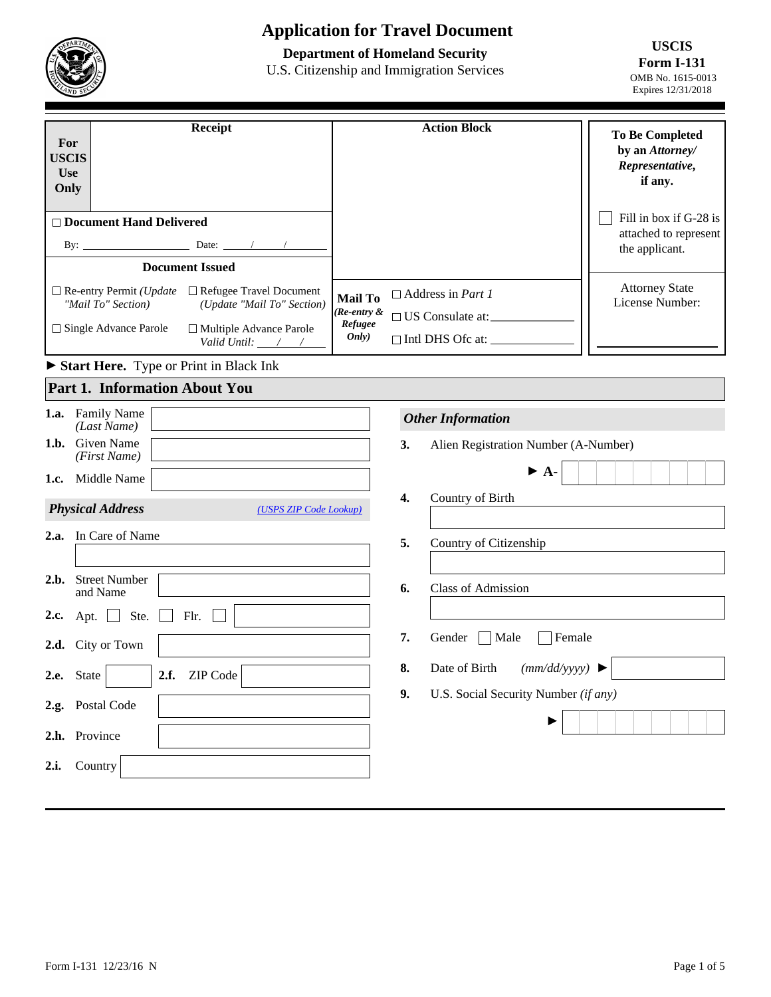# **Application for Travel Document**

## **Department of Homeland Security**

U.S. Citizenship and Immigration Services

**USCIS Form I-131**  OMB No. 1615-0013 Expires 12/31/2018

| Receipt<br>For<br><b>USCIS</b><br><b>Use</b><br>Only                                                                                                                                                                                 |  | <b>Action Block</b>                                                                                       | <b>To Be Completed</b><br>by an Attorney/<br>Representative,<br>if any. |
|--------------------------------------------------------------------------------------------------------------------------------------------------------------------------------------------------------------------------------------|--|-----------------------------------------------------------------------------------------------------------|-------------------------------------------------------------------------|
| $\Box$ Document Hand Delivered<br>By: $\qquad \qquad$<br>Date: $/$ /                                                                                                                                                                 |  |                                                                                                           | Fill in box if G-28 is<br>attached to represent<br>the applicant.       |
| <b>Document Issued</b>                                                                                                                                                                                                               |  |                                                                                                           |                                                                         |
| $\Box$ Re-entry Permit ( <i>Update</i><br>$\Box$ Refugee Travel Document<br><b>Mail To</b><br>(Update "Mail To" Section)<br>"Mail To" Section)<br>$\Box$ Single Advance Parole<br>$\Box$ Multiple Advance Parole<br>Valid Until: / / |  | $\Box$ Address in <i>Part 1</i><br>$(Re\text{-}entry \&$<br>□ US Consulate at:<br>$\Box$ Intl DHS Ofc at: | <b>Attorney State</b><br>License Number:                                |

► **Start Here.** Type or Print in Black Ink

## **Part 1. Information About You**

|      | 1.a. Family Name<br>(Last Name)                   |    | <b>Other Information</b>             |
|------|---------------------------------------------------|----|--------------------------------------|
| 1.b. | <b>Given Name</b><br>(First Name)                 | 3. | Alien Registration Number (A-Number) |
| 1.c. | Middle Name                                       |    | $\blacktriangleright$ A-             |
|      | <b>Physical Address</b><br>(USPS ZIP Code Lookup) | 4. | Country of Birth                     |
|      | 2.a. In Care of Name                              | 5. | Country of Citizenship               |
| 2.b. | <b>Street Number</b><br>and Name                  | 6. | <b>Class of Admission</b>            |
|      | 2.c. Apt. $\Box$<br>Ste.<br>Flr.                  |    |                                      |
|      | 2.d. City or Town                                 | 7. | $\Box$ Male<br>Female<br>Gender      |
| 2.e. | 2.f.<br>ZIP Code<br>State<br>$\blacktriangledown$ | 8. | Date of Birth<br>(mm/dd/yyyy)        |
|      | 2.g. Postal Code                                  | 9. | U.S. Social Security Number (if any) |
| 2.h. | Province                                          |    | ▶                                    |
| 2.i. | Country                                           |    |                                      |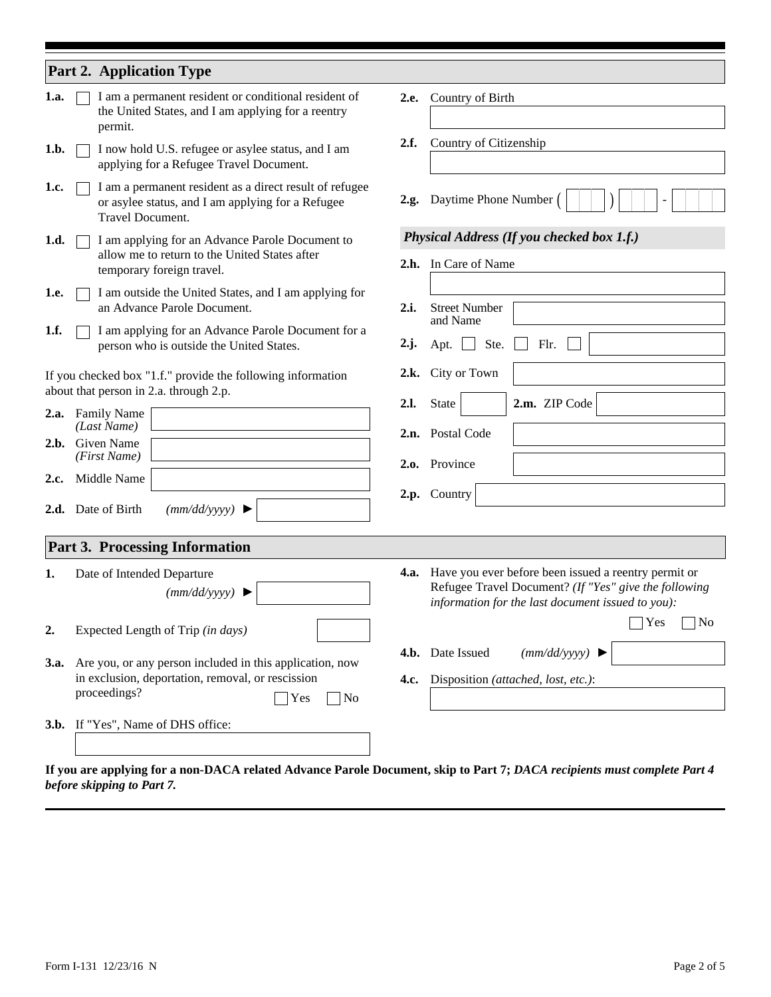| 1.a.<br>1.b.<br>1.c.<br>1.d.<br>1.e.<br>1.f. |  | <b>Part 2. Application Type</b><br>I am a permanent resident or conditional resident of<br>the United States, and I am applying for a reentry<br>permit.<br>I now hold U.S. refugee or asylee status, and I am<br>applying for a Refugee Travel Document.<br>I am a permanent resident as a direct result of refugee<br>or asylee status, and I am applying for a Refugee<br>Travel Document.<br>I am applying for an Advance Parole Document to<br>allow me to return to the United States after<br>temporary foreign travel.<br>I am outside the United States, and I am applying for<br>an Advance Parole Document.<br>I am applying for an Advance Parole Document for a<br>person who is outside the United States.<br>If you checked box "1.f." provide the following information<br>about that person in 2.a. through 2.p.<br>2.a. Family Name<br>(Last Name)<br>2.b. Given Name<br>(First Name) | 2.e.<br>2.f.<br>2.i.<br>$2 \cdot j$ .<br>2.l. | Country of Birth<br>Country of Citizenship<br>2.g. Daytime Phone Number<br>Physical Address (If you checked box 1.f.)<br>2.h. In Care of Name<br><b>Street Number</b><br>and Name<br>Ste.<br>Flr.<br>Apt.<br>2.k. City or Town<br>2.m. ZIP Code<br>State<br>2.n. Postal Code<br>2.o. Province |
|----------------------------------------------|--|---------------------------------------------------------------------------------------------------------------------------------------------------------------------------------------------------------------------------------------------------------------------------------------------------------------------------------------------------------------------------------------------------------------------------------------------------------------------------------------------------------------------------------------------------------------------------------------------------------------------------------------------------------------------------------------------------------------------------------------------------------------------------------------------------------------------------------------------------------------------------------------------------------|-----------------------------------------------|-----------------------------------------------------------------------------------------------------------------------------------------------------------------------------------------------------------------------------------------------------------------------------------------------|
| 2.c.                                         |  | Middle Name<br>2.d. Date of Birth<br>(mm/dd/yyyy)                                                                                                                                                                                                                                                                                                                                                                                                                                                                                                                                                                                                                                                                                                                                                                                                                                                       |                                               | 2.p. Country                                                                                                                                                                                                                                                                                  |
|                                              |  | Part 3. Processing Information                                                                                                                                                                                                                                                                                                                                                                                                                                                                                                                                                                                                                                                                                                                                                                                                                                                                          |                                               |                                                                                                                                                                                                                                                                                               |
| 1.                                           |  | Date of Intended Departure<br>(mm/dd/yyyy)                                                                                                                                                                                                                                                                                                                                                                                                                                                                                                                                                                                                                                                                                                                                                                                                                                                              |                                               | <b>4.a.</b> Have you ever before been issued a reentry permit or<br>Refugee Travel Document? (If "Yes" give the following<br>information for the last document issued to you):                                                                                                                |
| $\overline{2}$ .<br><b>3.a.</b>              |  | Expected Length of Trip (in days)<br>Are you, or any person included in this application, now<br>in exclusion, deportation, removal, or rescission<br>proceedings?<br>No<br>Yes                                                                                                                                                                                                                                                                                                                                                                                                                                                                                                                                                                                                                                                                                                                         |                                               | Yes<br>$\overline{\phantom{a}}$ No<br>(mm/dd/yyyy)<br>4.b. Date Issued<br>4.c. Disposition (attached, lost, etc.):                                                                                                                                                                            |
|                                              |  | 3.b. If "Yes", Name of DHS office:                                                                                                                                                                                                                                                                                                                                                                                                                                                                                                                                                                                                                                                                                                                                                                                                                                                                      |                                               |                                                                                                                                                                                                                                                                                               |

**If you are applying for a non-DACA related Advance Parole Document, skip to Part 7;** *DACA recipients must complete Part 4 before skipping to Part 7.*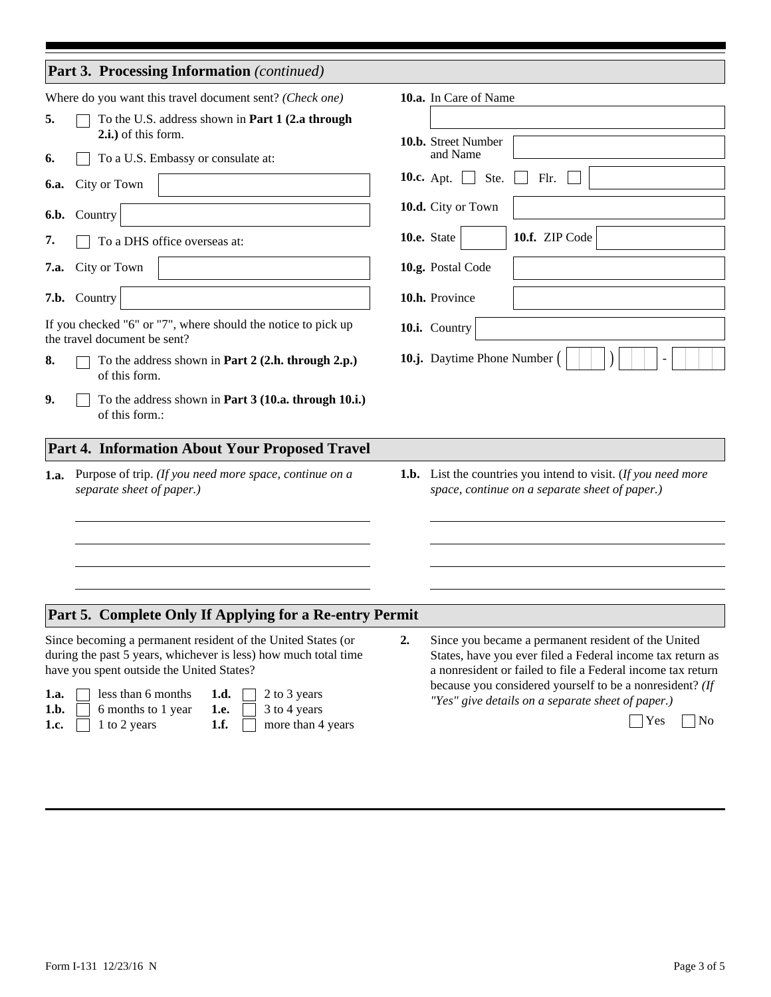| Part 3. Processing Information (continued)                                                                                                                                                                                                                                                                                                                                                                                                                                                                    |                                                                                                                                                                                                                                                                                                                          |
|---------------------------------------------------------------------------------------------------------------------------------------------------------------------------------------------------------------------------------------------------------------------------------------------------------------------------------------------------------------------------------------------------------------------------------------------------------------------------------------------------------------|--------------------------------------------------------------------------------------------------------------------------------------------------------------------------------------------------------------------------------------------------------------------------------------------------------------------------|
| Where do you want this travel document sent? (Check one)                                                                                                                                                                                                                                                                                                                                                                                                                                                      | 10.a. In Care of Name                                                                                                                                                                                                                                                                                                    |
| To the U.S. address shown in Part 1 (2.a through<br>5.<br>2.i.) of this form.<br>To a U.S. Embassy or consulate at:<br>6.<br>City or Town<br>6.a.<br>6.b. Country<br>7.<br>To a DHS office overseas at:<br>City or Town<br>7.a.<br>7.b. Country<br>If you checked "6" or "7", where should the notice to pick up<br>the travel document be sent?<br>To the address shown in Part 2 (2.h. through 2.p.)<br>8.<br>of this form.<br>9.<br>To the address shown in Part 3 (10.a. through 10.i.)<br>of this form.: | 10.b. Street Number<br>and Name<br>Ste.<br><b>10.c.</b> Apt.<br>Flr.<br>$\vert$<br>10.d. City or Town<br>10.f. ZIP Code<br>10.e. State<br>10.g. Postal Code<br>10.h. Province<br>10.i. Country<br>10.j. Daytime Phone Number                                                                                             |
| Part 4. Information About Your Proposed Travel                                                                                                                                                                                                                                                                                                                                                                                                                                                                |                                                                                                                                                                                                                                                                                                                          |
| Purpose of trip. (If you need more space, continue on a<br>1.a.<br>separate sheet of paper.)                                                                                                                                                                                                                                                                                                                                                                                                                  | <b>1.b.</b> List the countries you intend to visit. (If you need more<br>space, continue on a separate sheet of paper.)                                                                                                                                                                                                  |
| Part 5. Complete Only If Applying for a Re-entry Permit                                                                                                                                                                                                                                                                                                                                                                                                                                                       |                                                                                                                                                                                                                                                                                                                          |
| Since becoming a permanent resident of the United States (or<br>during the past 5 years, whichever is less) how much total time<br>have you spent outside the United States?<br>less than 6 months<br>1.d.<br>1.a.<br>2 to 3 years<br>1.b.<br>6 months to 1 year<br>1.e.<br>3 to 4 years<br>1.f.<br>1 to 2 years<br>more than 4 years<br>1.c.                                                                                                                                                                 | 2.<br>Since you became a permanent resident of the United<br>States, have you ever filed a Federal income tax return as<br>a nonresident or failed to file a Federal income tax return<br>because you considered yourself to be a nonresident? (If<br>"Yes" give details on a separate sheet of paper.)<br>$\log$<br>Yes |
|                                                                                                                                                                                                                                                                                                                                                                                                                                                                                                               |                                                                                                                                                                                                                                                                                                                          |

┓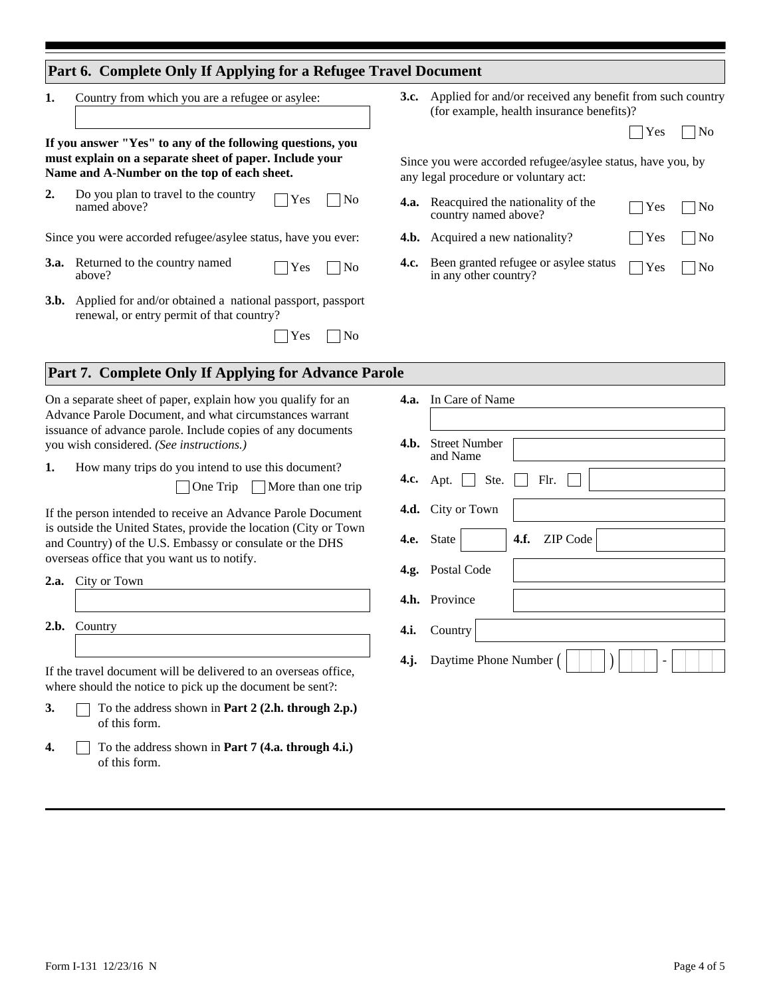### **Part 6. Complete Only If Applying for a Refugee Travel Document**

**1.** Country from which you are a refugee or asylee:

**If you answer "Yes" to any of the following questions, you must explain on a separate sheet of paper. Include your Name and A-Number on the top of each sheet.**

**2.**  $\Box$ No  $\Box$  Yes Do you plan to travel to the country named above?

Since you were accorded refugee/asylee status, have you ever:

- **3.a.** Returned to the country named  $\Box$  Yes  $\Box$  No above?
- Applied for and/or obtained a national passport, passport **3.b.** renewal, or entry permit of that country?

| × | r |
|---|---|
|---|---|

Applied for and/or received any benefit from such country **3.c.** (for example, health insurance benefits)?

| o |  |
|---|--|
|---|--|

Since you were accorded refugee/asylee status, have you, by any legal procedure or voluntary act:

| <b>4.a.</b> | Reacquired the nationality of the<br>country named above?              | $\Box$ Yes $\Box$ No |  |
|-------------|------------------------------------------------------------------------|----------------------|--|
|             | <b>4.b.</b> Acquired a new nationality?                                |                      |  |
|             | <b>4.c.</b> Been granted refugee or asylee status $\Box$ Yes $\Box$ No |                      |  |

in any other country?

#### **Part 7. Complete Only If Applying for Advance Parole**

On a separate sheet of paper, explain how you qualify for an Advance Parole Document, and what circumstances warrant issuance of advance parole. Include copies of any documents you wish considered. *(See instructions.)*

**1.** How many trips do you intend to use this document?

One Trip More than one trip

 $\mathbf{L}$ 

If the person intended to receive an Advance Parole Document is outside the United States, provide the location (City or Town and Country) of the U.S. Embassy or consulate or the DHS overseas office that you want us to notify.

| 2.a. |  |  | City or Town |
|------|--|--|--------------|
|------|--|--|--------------|

**2.b.** Country

If the travel document will be delivered to an overseas office, where should the notice to pick up the document be sent?:

- To the address shown in **Part 2 (2.h. through 2.p.)** of this form. **3.**
- To the address shown in **Part 7 (4.a. through 4.i.)**  of this form. **4.**

| <b>4.a.</b> In Care of Name                 |
|---------------------------------------------|
|                                             |
| <b>4.b.</b> Street Number<br>and Name       |
| 4.c. Apt. Ste. Flr.                         |
| 4.d. City or Town                           |
| 4.f. ZIP Code<br>4.e. State<br>$\mathsf{L}$ |
| 4.g. Postal Code                            |
| 4.h. Province                               |
| 4.i. Country                                |
| 4.j. Daytime Phone Number (                 |